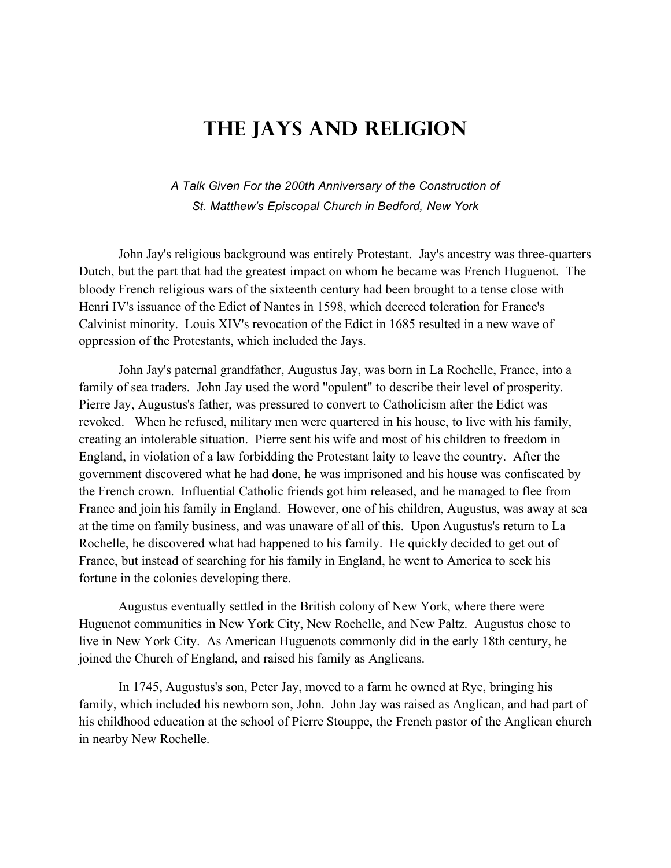## **The Jays and Religion**

## *A Talk Given For the 200th Anniversary of the Construction of St. Matthew's Episcopal Church in Bedford, New York*

John Jay's religious background was entirely Protestant. Jay's ancestry was three-quarters Dutch, but the part that had the greatest impact on whom he became was French Huguenot. The bloody French religious wars of the sixteenth century had been brought to a tense close with Henri IV's issuance of the Edict of Nantes in 1598, which decreed toleration for France's Calvinist minority. Louis XIV's revocation of the Edict in 1685 resulted in a new wave of oppression of the Protestants, which included the Jays.

John Jay's paternal grandfather, Augustus Jay, was born in La Rochelle, France, into a family of sea traders. John Jay used the word "opulent" to describe their level of prosperity. Pierre Jay, Augustus's father, was pressured to convert to Catholicism after the Edict was revoked. When he refused, military men were quartered in his house, to live with his family, creating an intolerable situation. Pierre sent his wife and most of his children to freedom in England, in violation of a law forbidding the Protestant laity to leave the country. After the government discovered what he had done, he was imprisoned and his house was confiscated by the French crown. Influential Catholic friends got him released, and he managed to flee from France and join his family in England. However, one of his children, Augustus, was away at sea at the time on family business, and was unaware of all of this. Upon Augustus's return to La Rochelle, he discovered what had happened to his family. He quickly decided to get out of France, but instead of searching for his family in England, he went to America to seek his fortune in the colonies developing there.

Augustus eventually settled in the British colony of New York, where there were Huguenot communities in New York City, New Rochelle, and New Paltz. Augustus chose to live in New York City. As American Huguenots commonly did in the early 18th century, he joined the Church of England, and raised his family as Anglicans.

In 1745, Augustus's son, Peter Jay, moved to a farm he owned at Rye, bringing his family, which included his newborn son, John. John Jay was raised as Anglican, and had part of his childhood education at the school of Pierre Stouppe, the French pastor of the Anglican church in nearby New Rochelle.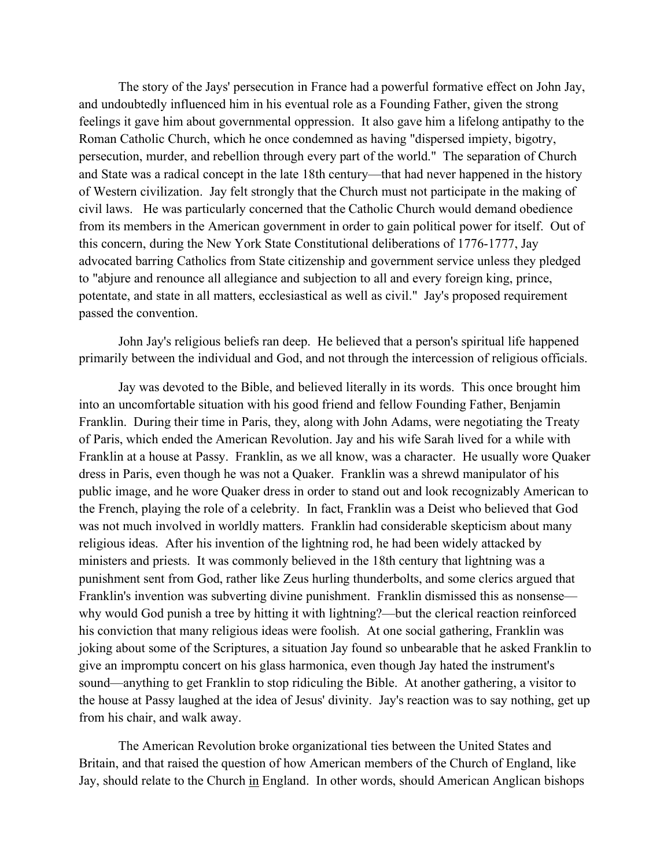The story of the Jays' persecution in France had a powerful formative effect on John Jay, and undoubtedly influenced him in his eventual role as a Founding Father, given the strong feelings it gave him about governmental oppression. It also gave him a lifelong antipathy to the Roman Catholic Church, which he once condemned as having "dispersed impiety, bigotry, persecution, murder, and rebellion through every part of the world." The separation of Church and State was a radical concept in the late 18th century—that had never happened in the history of Western civilization. Jay felt strongly that the Church must not participate in the making of civil laws. He was particularly concerned that the Catholic Church would demand obedience from its members in the American government in order to gain political power for itself. Out of this concern, during the New York State Constitutional deliberations of 1776-1777, Jay advocated barring Catholics from State citizenship and government service unless they pledged to "abjure and renounce all allegiance and subjection to all and every foreign king, prince, potentate, and state in all matters, ecclesiastical as well as civil." Jay's proposed requirement passed the convention.

John Jay's religious beliefs ran deep. He believed that a person's spiritual life happened primarily between the individual and God, and not through the intercession of religious officials.

Jay was devoted to the Bible, and believed literally in its words. This once brought him into an uncomfortable situation with his good friend and fellow Founding Father, Benjamin Franklin. During their time in Paris, they, along with John Adams, were negotiating the Treaty of Paris, which ended the American Revolution. Jay and his wife Sarah lived for a while with Franklin at a house at Passy. Franklin, as we all know, was a character. He usually wore Quaker dress in Paris, even though he was not a Quaker. Franklin was a shrewd manipulator of his public image, and he wore Quaker dress in order to stand out and look recognizably American to the French, playing the role of a celebrity. In fact, Franklin was a Deist who believed that God was not much involved in worldly matters. Franklin had considerable skepticism about many religious ideas. After his invention of the lightning rod, he had been widely attacked by ministers and priests. It was commonly believed in the 18th century that lightning was a punishment sent from God, rather like Zeus hurling thunderbolts, and some clerics argued that Franklin's invention was subverting divine punishment. Franklin dismissed this as nonsense why would God punish a tree by hitting it with lightning?—but the clerical reaction reinforced his conviction that many religious ideas were foolish. At one social gathering, Franklin was joking about some of the Scriptures, a situation Jay found so unbearable that he asked Franklin to give an impromptu concert on his glass harmonica, even though Jay hated the instrument's sound—anything to get Franklin to stop ridiculing the Bible. At another gathering, a visitor to the house at Passy laughed at the idea of Jesus' divinity. Jay's reaction was to say nothing, get up from his chair, and walk away.

The American Revolution broke organizational ties between the United States and Britain, and that raised the question of how American members of the Church of England, like Jay, should relate to the Church in England. In other words, should American Anglican bishops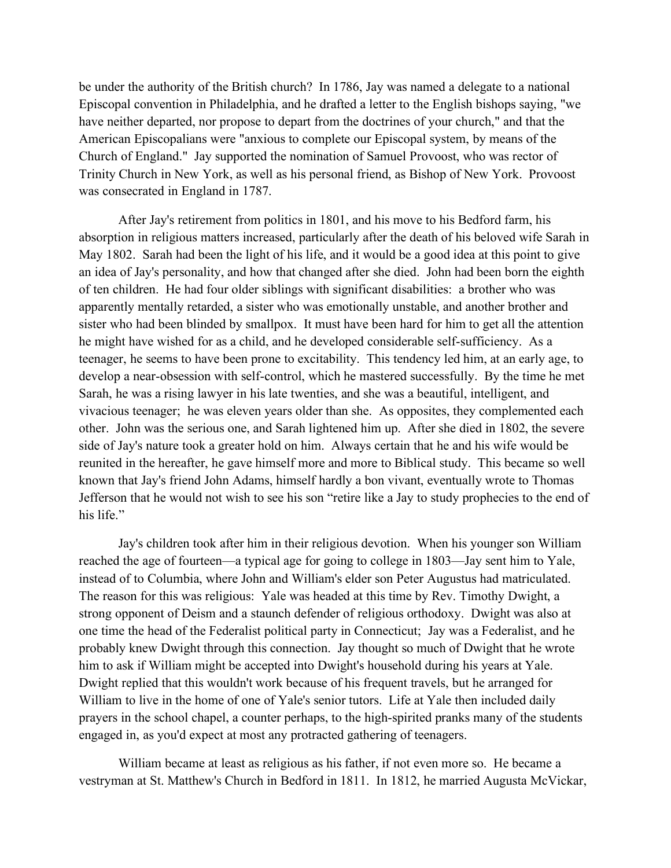be under the authority of the British church? In 1786, Jay was named a delegate to a national Episcopal convention in Philadelphia, and he drafted a letter to the English bishops saying, "we have neither departed, nor propose to depart from the doctrines of your church," and that the American Episcopalians were "anxious to complete our Episcopal system, by means of the Church of England." Jay supported the nomination of Samuel Provoost, who was rector of Trinity Church in New York, as well as his personal friend, as Bishop of New York. Provoost was consecrated in England in 1787.

After Jay's retirement from politics in 1801, and his move to his Bedford farm, his absorption in religious matters increased, particularly after the death of his beloved wife Sarah in May 1802. Sarah had been the light of his life, and it would be a good idea at this point to give an idea of Jay's personality, and how that changed after she died. John had been born the eighth of ten children. He had four older siblings with significant disabilities: a brother who was apparently mentally retarded, a sister who was emotionally unstable, and another brother and sister who had been blinded by smallpox. It must have been hard for him to get all the attention he might have wished for as a child, and he developed considerable self-sufficiency. As a teenager, he seems to have been prone to excitability. This tendency led him, at an early age, to develop a near-obsession with self-control, which he mastered successfully. By the time he met Sarah, he was a rising lawyer in his late twenties, and she was a beautiful, intelligent, and vivacious teenager; he was eleven years older than she. As opposites, they complemented each other. John was the serious one, and Sarah lightened him up. After she died in 1802, the severe side of Jay's nature took a greater hold on him. Always certain that he and his wife would be reunited in the hereafter, he gave himself more and more to Biblical study. This became so well known that Jay's friend John Adams, himself hardly a bon vivant, eventually wrote to Thomas Jefferson that he would not wish to see his son "retire like a Jay to study prophecies to the end of his life."

Jay's children took after him in their religious devotion. When his younger son William reached the age of fourteen—a typical age for going to college in 1803—Jay sent him to Yale, instead of to Columbia, where John and William's elder son Peter Augustus had matriculated. The reason for this was religious: Yale was headed at this time by Rev. Timothy Dwight, a strong opponent of Deism and a staunch defender of religious orthodoxy. Dwight was also at one time the head of the Federalist political party in Connecticut; Jay was a Federalist, and he probably knew Dwight through this connection. Jay thought so much of Dwight that he wrote him to ask if William might be accepted into Dwight's household during his years at Yale. Dwight replied that this wouldn't work because of his frequent travels, but he arranged for William to live in the home of one of Yale's senior tutors. Life at Yale then included daily prayers in the school chapel, a counter perhaps, to the high-spirited pranks many of the students engaged in, as you'd expect at most any protracted gathering of teenagers.

William became at least as religious as his father, if not even more so. He became a vestryman at St. Matthew's Church in Bedford in 1811. In 1812, he married Augusta McVickar,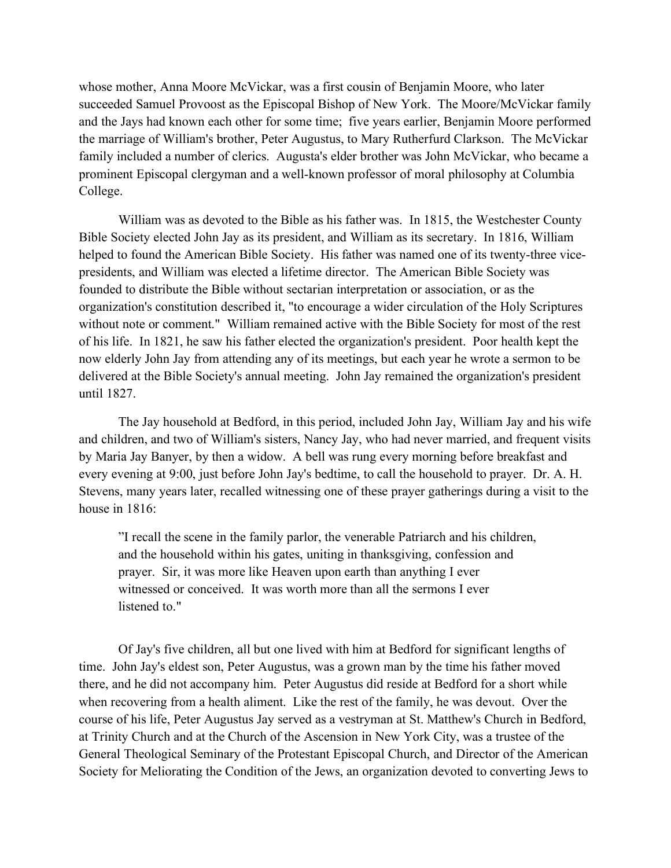whose mother, Anna Moore McVickar, was a first cousin of Benjamin Moore, who later succeeded Samuel Provoost as the Episcopal Bishop of New York. The Moore/McVickar family and the Jays had known each other for some time; five years earlier, Benjamin Moore performed the marriage of William's brother, Peter Augustus, to Mary Rutherfurd Clarkson. The McVickar family included a number of clerics. Augusta's elder brother was John McVickar, who became a prominent Episcopal clergyman and a well-known professor of moral philosophy at Columbia College.

William was as devoted to the Bible as his father was. In 1815, the Westchester County Bible Society elected John Jay as its president, and William as its secretary. In 1816, William helped to found the American Bible Society. His father was named one of its twenty-three vicepresidents, and William was elected a lifetime director. The American Bible Society was founded to distribute the Bible without sectarian interpretation or association, or as the organization's constitution described it, "to encourage a wider circulation of the Holy Scriptures without note or comment." William remained active with the Bible Society for most of the rest of his life. In 1821, he saw his father elected the organization's president. Poor health kept the now elderly John Jay from attending any of its meetings, but each year he wrote a sermon to be delivered at the Bible Society's annual meeting. John Jay remained the organization's president until 1827.

The Jay household at Bedford, in this period, included John Jay, William Jay and his wife and children, and two of William's sisters, Nancy Jay, who had never married, and frequent visits by Maria Jay Banyer, by then a widow. A bell was rung every morning before breakfast and every evening at 9:00, just before John Jay's bedtime, to call the household to prayer. Dr. A. H. Stevens, many years later, recalled witnessing one of these prayer gatherings during a visit to the house in 1816:

"I recall the scene in the family parlor, the venerable Patriarch and his children, and the household within his gates, uniting in thanksgiving, confession and prayer. Sir, it was more like Heaven upon earth than anything I ever witnessed or conceived. It was worth more than all the sermons I ever listened to."

Of Jay's five children, all but one lived with him at Bedford for significant lengths of time. John Jay's eldest son, Peter Augustus, was a grown man by the time his father moved there, and he did not accompany him. Peter Augustus did reside at Bedford for a short while when recovering from a health aliment. Like the rest of the family, he was devout. Over the course of his life, Peter Augustus Jay served as a vestryman at St. Matthew's Church in Bedford, at Trinity Church and at the Church of the Ascension in New York City, was a trustee of the General Theological Seminary of the Protestant Episcopal Church, and Director of the American Society for Meliorating the Condition of the Jews, an organization devoted to converting Jews to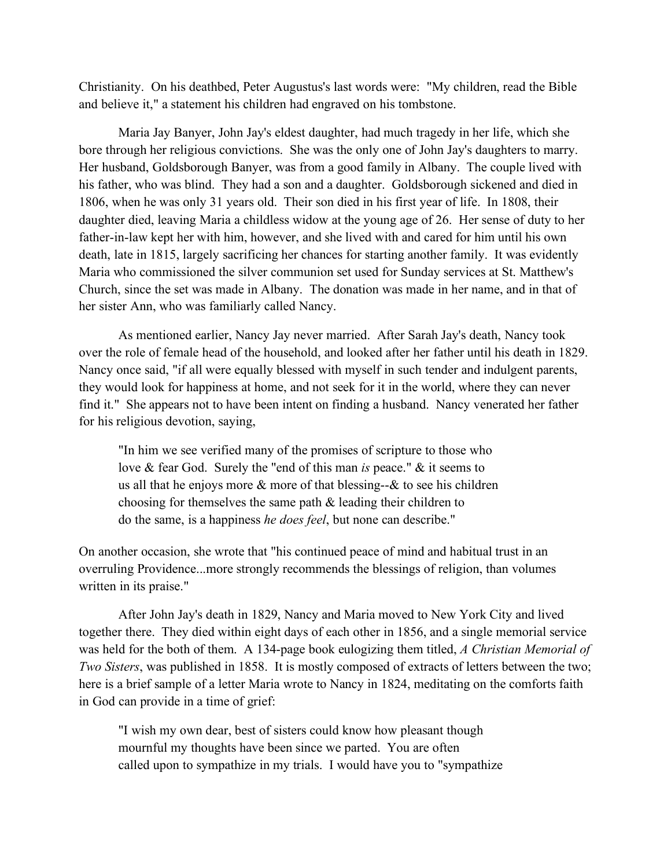Christianity. On his deathbed, Peter Augustus's last words were: "My children, read the Bible and believe it," a statement his children had engraved on his tombstone.

Maria Jay Banyer, John Jay's eldest daughter, had much tragedy in her life, which she bore through her religious convictions. She was the only one of John Jay's daughters to marry. Her husband, Goldsborough Banyer, was from a good family in Albany. The couple lived with his father, who was blind. They had a son and a daughter. Goldsborough sickened and died in 1806, when he was only 31 years old. Their son died in his first year of life. In 1808, their daughter died, leaving Maria a childless widow at the young age of 26. Her sense of duty to her father-in-law kept her with him, however, and she lived with and cared for him until his own death, late in 1815, largely sacrificing her chances for starting another family. It was evidently Maria who commissioned the silver communion set used for Sunday services at St. Matthew's Church, since the set was made in Albany. The donation was made in her name, and in that of her sister Ann, who was familiarly called Nancy.

As mentioned earlier, Nancy Jay never married. After Sarah Jay's death, Nancy took over the role of female head of the household, and looked after her father until his death in 1829. Nancy once said, "if all were equally blessed with myself in such tender and indulgent parents, they would look for happiness at home, and not seek for it in the world, where they can never find it." She appears not to have been intent on finding a husband. Nancy venerated her father for his religious devotion, saying,

"In him we see verified many of the promises of scripture to those who love & fear God. Surely the "end of this man *is* peace." & it seems to us all that he enjoys more  $\&$  more of that blessing-- $\&$  to see his children choosing for themselves the same path & leading their children to do the same, is a happiness *he does feel*, but none can describe."

On another occasion, she wrote that "his continued peace of mind and habitual trust in an overruling Providence...more strongly recommends the blessings of religion, than volumes written in its praise."

After John Jay's death in 1829, Nancy and Maria moved to New York City and lived together there. They died within eight days of each other in 1856, and a single memorial service was held for the both of them. A 134-page book eulogizing them titled, *A Christian Memorial of Two Sisters*, was published in 1858. It is mostly composed of extracts of letters between the two; here is a brief sample of a letter Maria wrote to Nancy in 1824, meditating on the comforts faith in God can provide in a time of grief:

"I wish my own dear, best of sisters could know how pleasant though mournful my thoughts have been since we parted. You are often called upon to sympathize in my trials. I would have you to "sympathize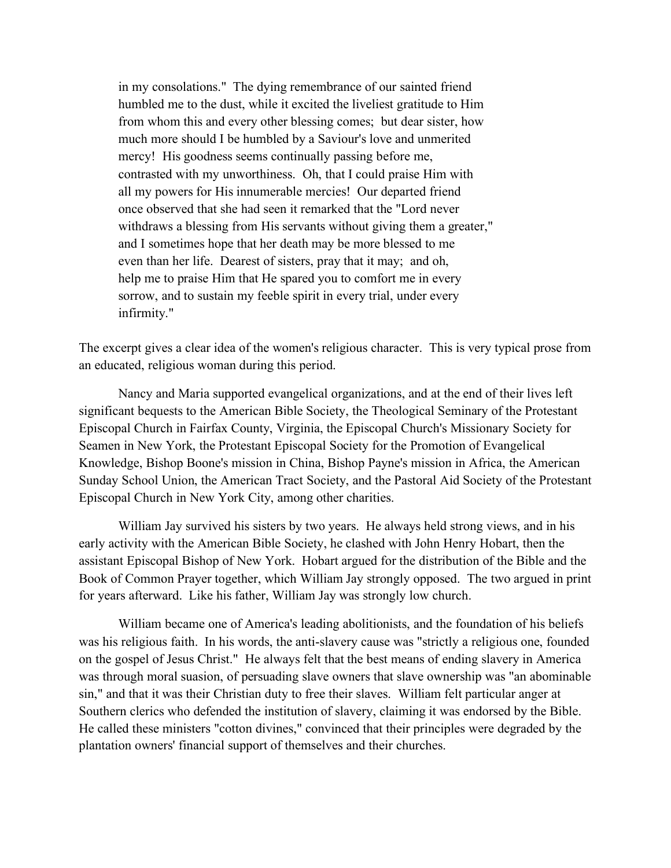in my consolations." The dying remembrance of our sainted friend humbled me to the dust, while it excited the liveliest gratitude to Him from whom this and every other blessing comes; but dear sister, how much more should I be humbled by a Saviour's love and unmerited mercy! His goodness seems continually passing before me, contrasted with my unworthiness. Oh, that I could praise Him with all my powers for His innumerable mercies! Our departed friend once observed that she had seen it remarked that the "Lord never withdraws a blessing from His servants without giving them a greater," and I sometimes hope that her death may be more blessed to me even than her life. Dearest of sisters, pray that it may; and oh, help me to praise Him that He spared you to comfort me in every sorrow, and to sustain my feeble spirit in every trial, under every infirmity."

The excerpt gives a clear idea of the women's religious character. This is very typical prose from an educated, religious woman during this period.

Nancy and Maria supported evangelical organizations, and at the end of their lives left significant bequests to the American Bible Society, the Theological Seminary of the Protestant Episcopal Church in Fairfax County, Virginia, the Episcopal Church's Missionary Society for Seamen in New York, the Protestant Episcopal Society for the Promotion of Evangelical Knowledge, Bishop Boone's mission in China, Bishop Payne's mission in Africa, the American Sunday School Union, the American Tract Society, and the Pastoral Aid Society of the Protestant Episcopal Church in New York City, among other charities.

William Jay survived his sisters by two years. He always held strong views, and in his early activity with the American Bible Society, he clashed with John Henry Hobart, then the assistant Episcopal Bishop of New York. Hobart argued for the distribution of the Bible and the Book of Common Prayer together, which William Jay strongly opposed. The two argued in print for years afterward. Like his father, William Jay was strongly low church.

William became one of America's leading abolitionists, and the foundation of his beliefs was his religious faith. In his words, the anti-slavery cause was "strictly a religious one, founded on the gospel of Jesus Christ." He always felt that the best means of ending slavery in America was through moral suasion, of persuading slave owners that slave ownership was "an abominable sin," and that it was their Christian duty to free their slaves. William felt particular anger at Southern clerics who defended the institution of slavery, claiming it was endorsed by the Bible. He called these ministers "cotton divines," convinced that their principles were degraded by the plantation owners' financial support of themselves and their churches.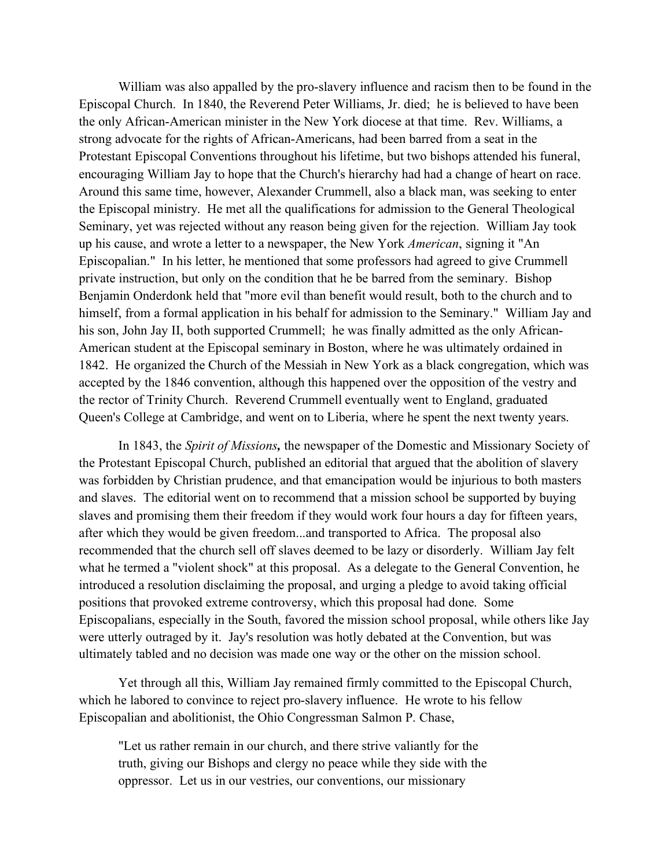William was also appalled by the pro-slavery influence and racism then to be found in the Episcopal Church. In 1840, the Reverend Peter Williams, Jr. died; he is believed to have been the only African-American minister in the New York diocese at that time. Rev. Williams, a strong advocate for the rights of African-Americans, had been barred from a seat in the Protestant Episcopal Conventions throughout his lifetime, but two bishops attended his funeral, encouraging William Jay to hope that the Church's hierarchy had had a change of heart on race. Around this same time, however, Alexander Crummell, also a black man, was seeking to enter the Episcopal ministry. He met all the qualifications for admission to the General Theological Seminary, yet was rejected without any reason being given for the rejection. William Jay took up his cause, and wrote a letter to a newspaper, the New York *American*, signing it "An Episcopalian." In his letter, he mentioned that some professors had agreed to give Crummell private instruction, but only on the condition that he be barred from the seminary. Bishop Benjamin Onderdonk held that "more evil than benefit would result, both to the church and to himself, from a formal application in his behalf for admission to the Seminary." William Jay and his son, John Jay II, both supported Crummell; he was finally admitted as the only African-American student at the Episcopal seminary in Boston, where he was ultimately ordained in 1842. He organized the Church of the Messiah in New York as a black congregation, which was accepted by the 1846 convention, although this happened over the opposition of the vestry and the rector of Trinity Church. Reverend Crummell eventually went to England, graduated Queen's College at Cambridge, and went on to Liberia, where he spent the next twenty years.

In 1843, the *Spirit of Missions,* the newspaper of the Domestic and Missionary Society of the Protestant Episcopal Church, published an editorial that argued that the abolition of slavery was forbidden by Christian prudence, and that emancipation would be injurious to both masters and slaves. The editorial went on to recommend that a mission school be supported by buying slaves and promising them their freedom if they would work four hours a day for fifteen years, after which they would be given freedom...and transported to Africa. The proposal also recommended that the church sell off slaves deemed to be lazy or disorderly. William Jay felt what he termed a "violent shock" at this proposal. As a delegate to the General Convention, he introduced a resolution disclaiming the proposal, and urging a pledge to avoid taking official positions that provoked extreme controversy, which this proposal had done. Some Episcopalians, especially in the South, favored the mission school proposal, while others like Jay were utterly outraged by it. Jay's resolution was hotly debated at the Convention, but was ultimately tabled and no decision was made one way or the other on the mission school.

Yet through all this, William Jay remained firmly committed to the Episcopal Church, which he labored to convince to reject pro-slavery influence. He wrote to his fellow Episcopalian and abolitionist, the Ohio Congressman Salmon P. Chase,

"Let us rather remain in our church, and there strive valiantly for the truth, giving our Bishops and clergy no peace while they side with the oppressor. Let us in our vestries, our conventions, our missionary